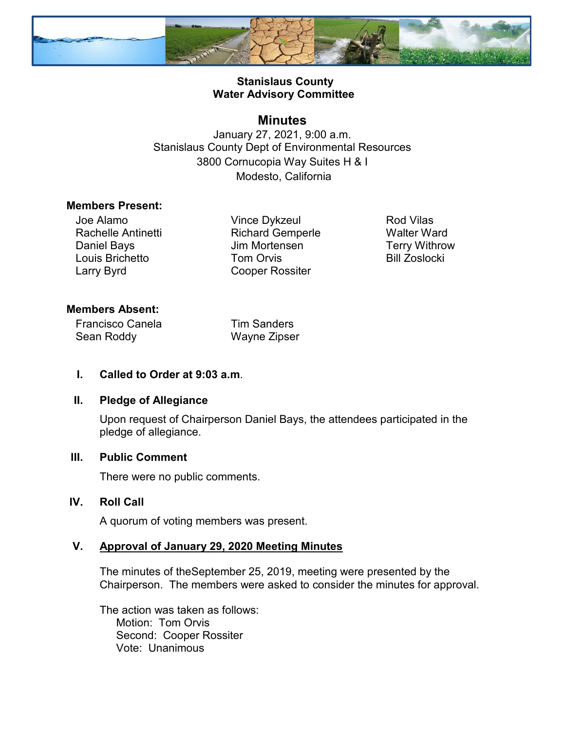

# **Stanislaus County Water Advisory Committee**

# **Minutes**

January 27, 2021, 9:00 a.m. Stanislaus County Dept of Environmental Resources 3800 Cornucopia Way Suites H & I Modesto, California

#### **Members Present:**

Joe Alamo Rachelle Antinetti Daniel Bays Louis Brichetto Larry Byrd

Vince Dykzeul Richard Gemperle Jim Mortensen Tom Orvis Cooper Rossiter

Rod Vilas Walter Ward Terry Withrow Bill Zoslocki

### **Members Absent:**

Francisco Canela Sean Roddy

Tim Sanders Wayne Zipser

### **I. Called to Order at 9:03 a.m**.

### **II. Pledge of Allegiance**

Upon request of Chairperson Daniel Bays, the attendees participated in the pledge of allegiance.

## **III. Public Comment**

There were no public comments.

## **IV. Roll Call**

A quorum of voting members was present.

### **V. Approval of January 29, 2020 Meeting Minutes**

The minutes of theSeptember 25, 2019, meeting were presented by the Chairperson. The members were asked to consider the minutes for approval.

The action was taken as follows: Motion: Tom Orvis Second: Cooper Rossiter Vote: Unanimous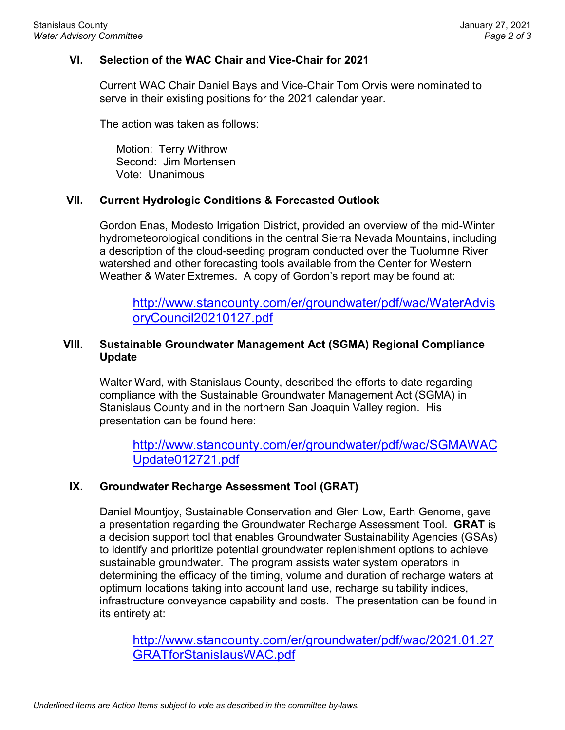## **VI. Selection of the WAC Chair and Vice-Chair for 2021**

Current WAC Chair Daniel Bays and Vice-Chair Tom Orvis were nominated to serve in their existing positions for the 2021 calendar year.

The action was taken as follows:

Motion: Terry Withrow Second: Jim Mortensen Vote: Unanimous

# **VII. Current Hydrologic Conditions & Forecasted Outlook**

Gordon Enas, Modesto Irrigation District, provided an overview of the mid-Winter hydrometeorological conditions in the central Sierra Nevada Mountains, including a description of the cloud-seeding program conducted over the Tuolumne River watershed and other forecasting tools available from the Center for Western Weather & Water Extremes. A copy of Gordon's report may be found at:

[http://www.stancounty.com/er/groundwater/pdf/wac/WaterAdvis](http://www.stancounty.com/er/groundwater/pdf/wac/WaterAdvisoryCouncil20210127.pdf) [oryCouncil20210127.pdf](http://www.stancounty.com/er/groundwater/pdf/wac/WaterAdvisoryCouncil20210127.pdf)

### **VIII. Sustainable Groundwater Management Act (SGMA) Regional Compliance Update**

Walter Ward, with Stanislaus County, described the efforts to date regarding compliance with the Sustainable Groundwater Management Act (SGMA) in Stanislaus County and in the northern San Joaquin Valley region. His presentation can be found here:

[http://www.stancounty.com/er/groundwater/pdf/wac/SGMAWAC](http://www.stancounty.com/er/groundwater/pdf/wac/SGMAWACUpdate012721.pdf) [Update012721.pdf](http://www.stancounty.com/er/groundwater/pdf/wac/SGMAWACUpdate012721.pdf)

### **IX. Groundwater Recharge Assessment Tool (GRAT)**

Daniel Mountjoy, Sustainable Conservation and Glen Low, Earth Genome, gave a presentation regarding the Groundwater Recharge Assessment Tool. **GRAT** is a decision support tool that enables Groundwater Sustainability Agencies (GSAs) to identify and prioritize potential groundwater replenishment options to achieve sustainable groundwater. The program assists water system operators in determining the efficacy of the timing, volume and duration of recharge waters at optimum locations taking into account land use, recharge suitability indices, infrastructure conveyance capability and costs. The presentation can be found in its entirety at:

[http://www.stancounty.com/er/groundwater/pdf/wac/2021.01.27](http://www.stancounty.com/er/groundwater/pdf/wac/2021.01.27GRATforStanislausWAC.pdf) [GRATforStanislausWAC.pdf](http://www.stancounty.com/er/groundwater/pdf/wac/2021.01.27GRATforStanislausWAC.pdf)